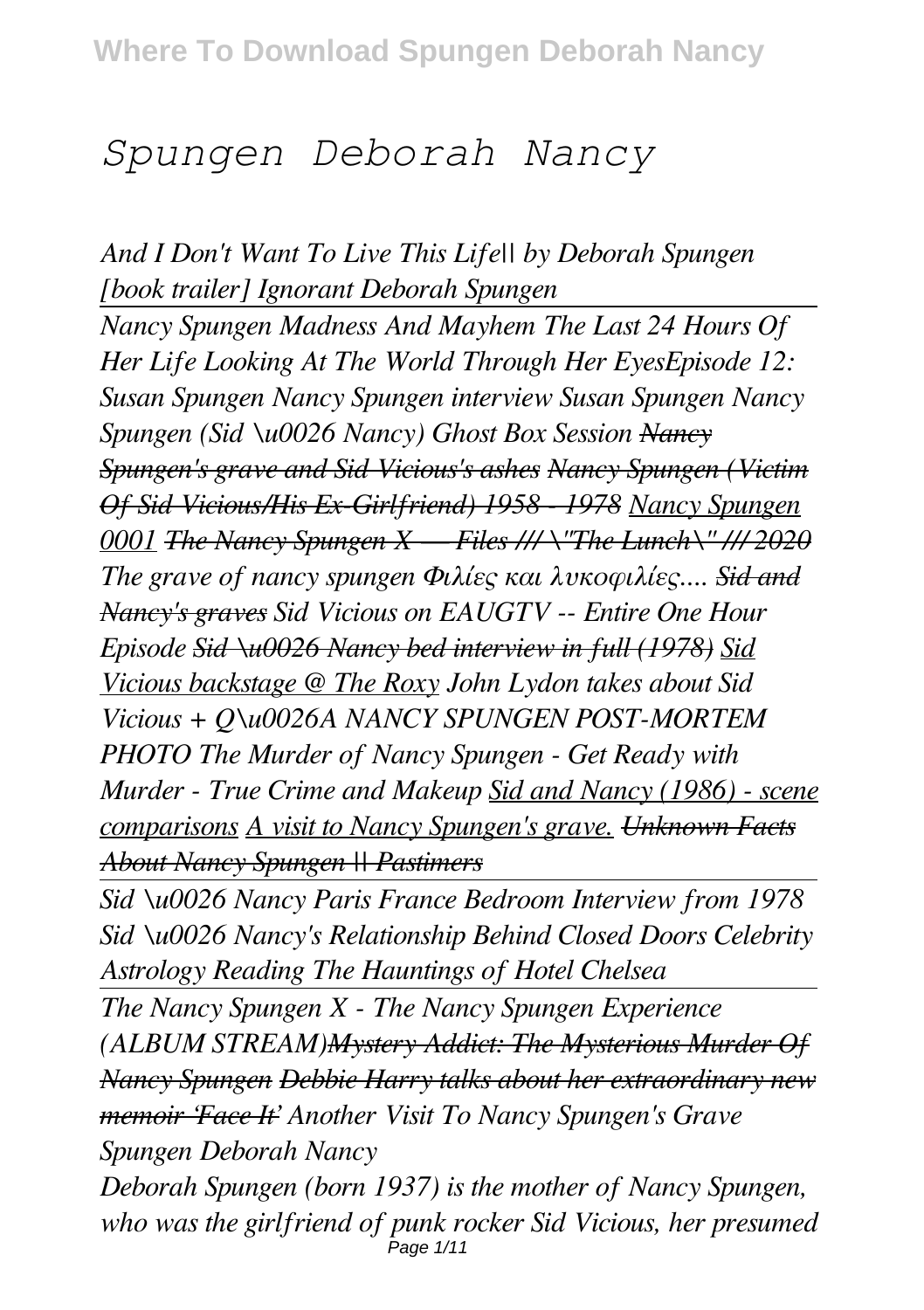# *Spungen Deborah Nancy*

*And I Don't Want To Live This Life|| by Deborah Spungen [book trailer] Ignorant Deborah Spungen Nancy Spungen Madness And Mayhem The Last 24 Hours Of Her Life Looking At The World Through Her EyesEpisode 12: Susan Spungen Nancy Spungen interview Susan Spungen Nancy Spungen (Sid \u0026 Nancy) Ghost Box Session Nancy Spungen's grave and Sid Vicious's ashes Nancy Spungen (Victim Of Sid Vicious/His Ex-Girlfriend) 1958 - 1978 Nancy Spungen 0001 The Nancy Spungen X — Files /// \"The Lunch\" /// 2020 The grave of nancy spungen Φιλίες και λυκοφιλίες.... Sid and Nancy's graves Sid Vicious on EAUGTV -- Entire One Hour Episode Sid \u0026 Nancy bed interview in full (1978) Sid Vicious backstage @ The Roxy John Lydon takes about Sid Vicious + Q\u0026A NANCY SPUNGEN POST-MORTEM PHOTO The Murder of Nancy Spungen - Get Ready with Murder - True Crime and Makeup Sid and Nancy (1986) - scene comparisons A visit to Nancy Spungen's grave. Unknown Facts About Nancy Spungen || Pastimers*

*Sid \u0026 Nancy Paris France Bedroom Interview from 1978 Sid \u0026 Nancy's Relationship Behind Closed Doors Celebrity Astrology Reading The Hauntings of Hotel Chelsea*

*The Nancy Spungen X - The Nancy Spungen Experience (ALBUM STREAM)Mystery Addict: The Mysterious Murder Of Nancy Spungen Debbie Harry talks about her extraordinary new memoir 'Face It' Another Visit To Nancy Spungen's Grave Spungen Deborah Nancy*

*Deborah Spungen (born 1937) is the mother of Nancy Spungen, who was the girlfriend of punk rocker Sid Vicious, her presumed* Page 1/11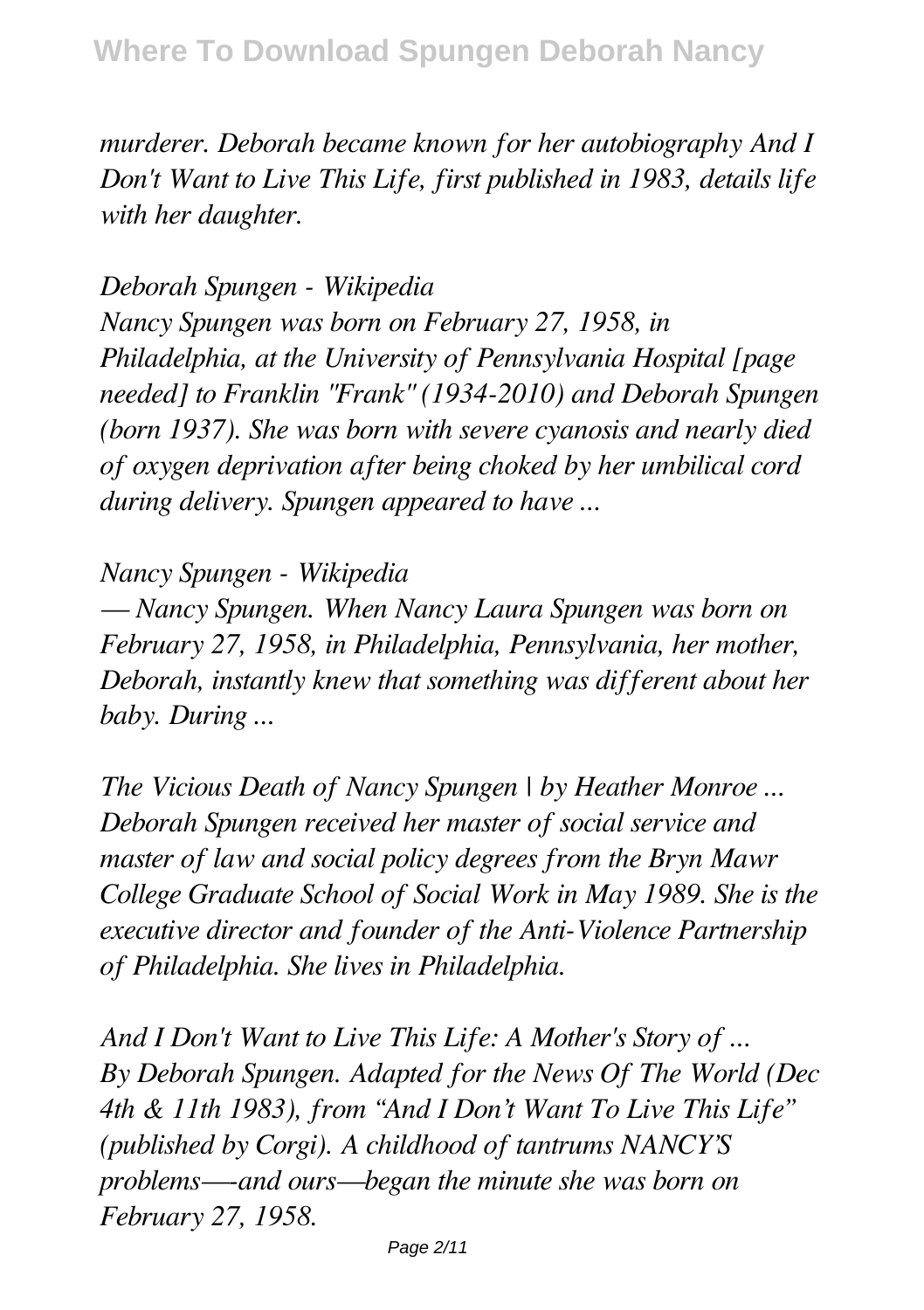*murderer. Deborah became known for her autobiography And I Don't Want to Live This Life, first published in 1983, details life with her daughter.*

*Deborah Spungen - Wikipedia Nancy Spungen was born on February 27, 1958, in Philadelphia, at the University of Pennsylvania Hospital [page needed] to Franklin "Frank" (1934-2010) and Deborah Spungen (born 1937). She was born with severe cyanosis and nearly died of oxygen deprivation after being choked by her umbilical cord during delivery. Spungen appeared to have ...*

## *Nancy Spungen - Wikipedia*

*— Nancy Spungen. When Nancy Laura Spungen was born on February 27, 1958, in Philadelphia, Pennsylvania, her mother, Deborah, instantly knew that something was different about her baby. During ...*

*The Vicious Death of Nancy Spungen | by Heather Monroe ... Deborah Spungen received her master of social service and master of law and social policy degrees from the Bryn Mawr College Graduate School of Social Work in May 1989. She is the executive director and founder of the Anti-Violence Partnership of Philadelphia. She lives in Philadelphia.*

*And I Don't Want to Live This Life: A Mother's Story of ... By Deborah Spungen. Adapted for the News Of The World (Dec 4th & 11th 1983), from "And I Don't Want To Live This Life" (published by Corgi). A childhood of tantrums NANCY'S problems—-and ours—began the minute she was born on February 27, 1958.*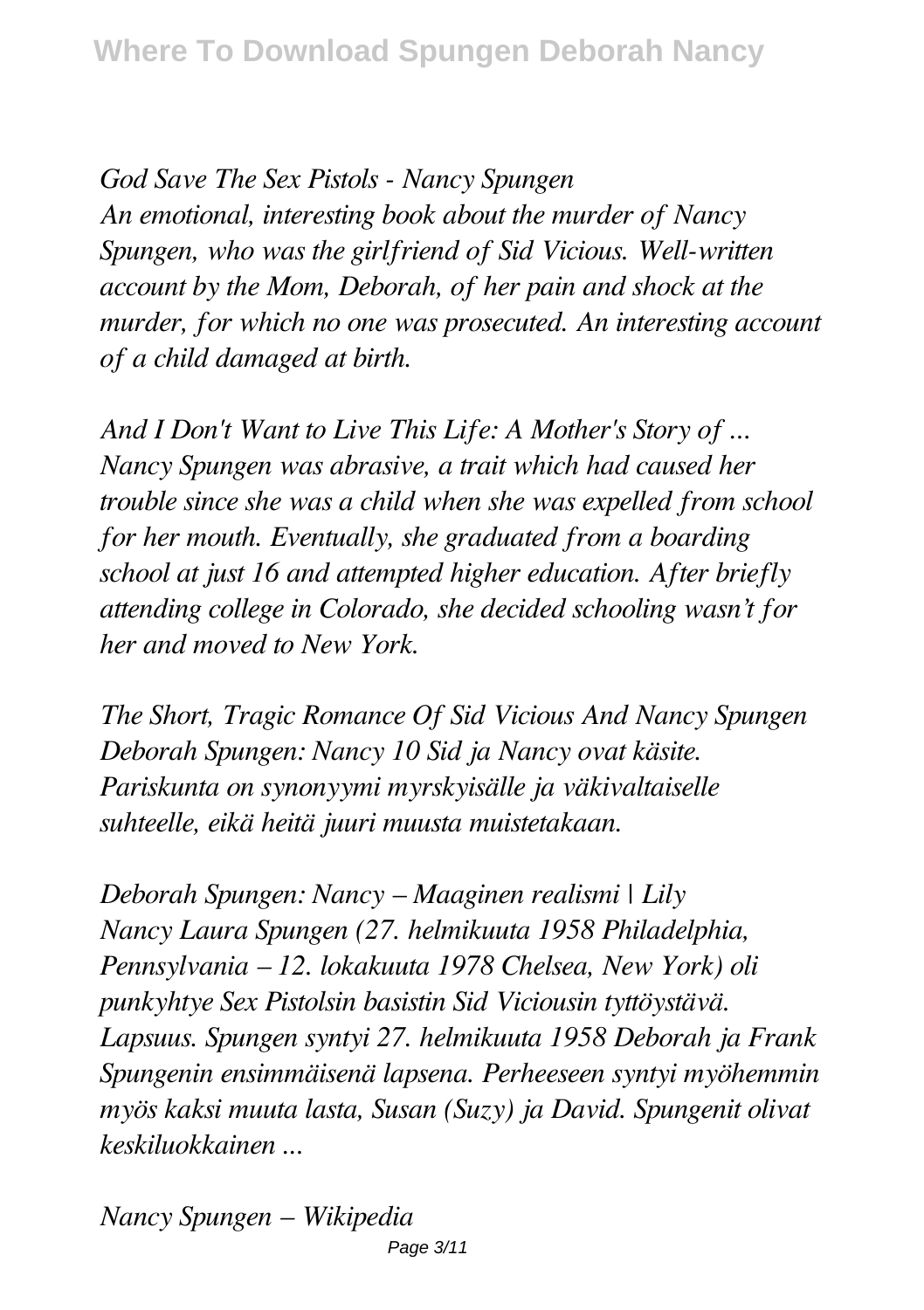*God Save The Sex Pistols - Nancy Spungen An emotional, interesting book about the murder of Nancy Spungen, who was the girlfriend of Sid Vicious. Well-written account by the Mom, Deborah, of her pain and shock at the murder, for which no one was prosecuted. An interesting account of a child damaged at birth.*

*And I Don't Want to Live This Life: A Mother's Story of ... Nancy Spungen was abrasive, a trait which had caused her trouble since she was a child when she was expelled from school for her mouth. Eventually, she graduated from a boarding school at just 16 and attempted higher education. After briefly attending college in Colorado, she decided schooling wasn't for her and moved to New York.*

*The Short, Tragic Romance Of Sid Vicious And Nancy Spungen Deborah Spungen: Nancy 10 Sid ja Nancy ovat käsite. Pariskunta on synonyymi myrskyisälle ja väkivaltaiselle suhteelle, eikä heitä juuri muusta muistetakaan.*

*Deborah Spungen: Nancy – Maaginen realismi | Lily Nancy Laura Spungen (27. helmikuuta 1958 Philadelphia, Pennsylvania – 12. lokakuuta 1978 Chelsea, New York) oli punkyhtye Sex Pistolsin basistin Sid Viciousin tyttöystävä. Lapsuus. Spungen syntyi 27. helmikuuta 1958 Deborah ja Frank Spungenin ensimmäisenä lapsena. Perheeseen syntyi myöhemmin myös kaksi muuta lasta, Susan (Suzy) ja David. Spungenit olivat keskiluokkainen ...*

*Nancy Spungen – Wikipedia* Page 3/11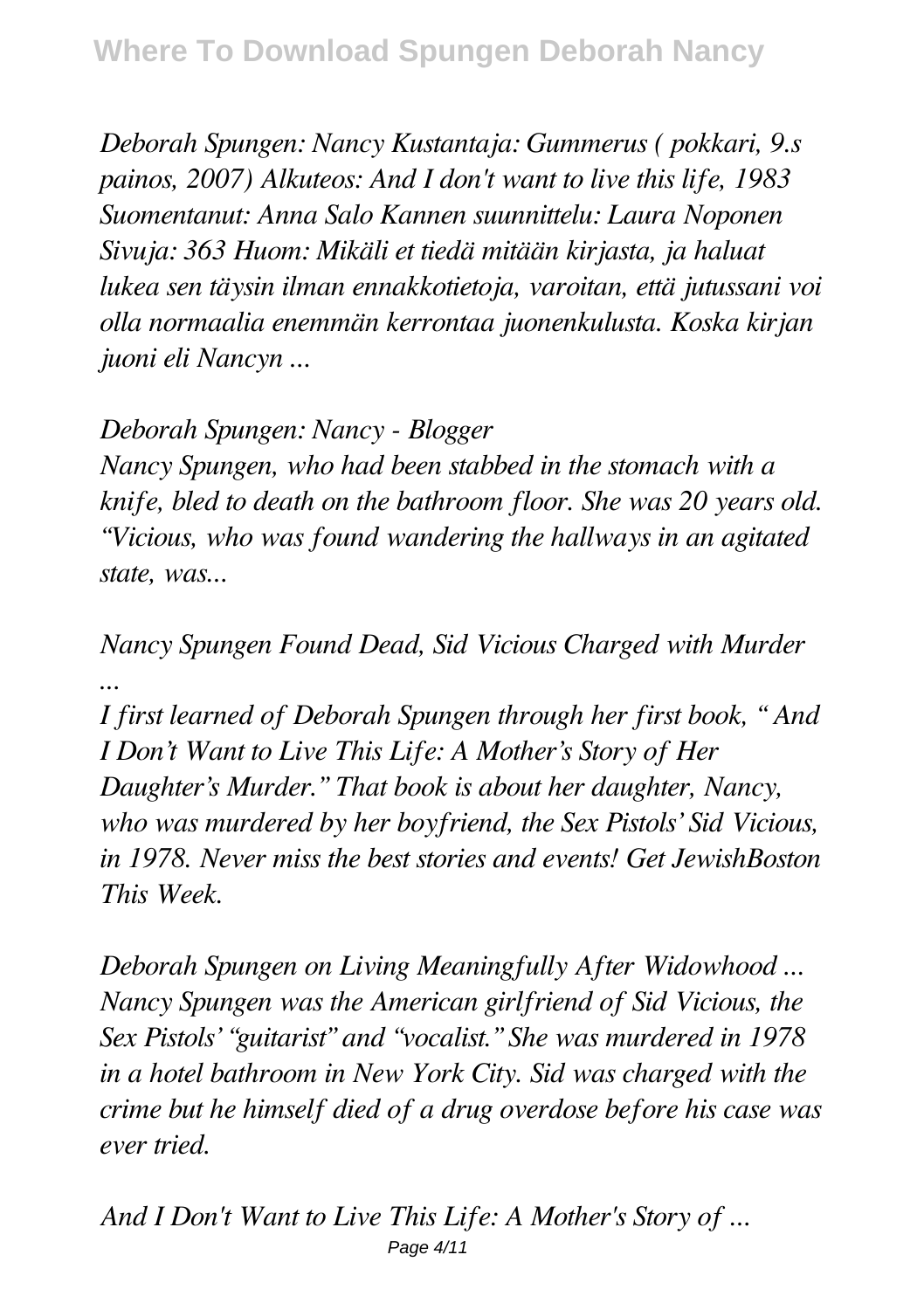*Deborah Spungen: Nancy Kustantaja: Gummerus ( pokkari, 9.s painos, 2007) Alkuteos: And I don't want to live this life, 1983 Suomentanut: Anna Salo Kannen suunnittelu: Laura Noponen Sivuja: 363 Huom: Mikäli et tiedä mitään kirjasta, ja haluat lukea sen täysin ilman ennakkotietoja, varoitan, että jutussani voi olla normaalia enemmän kerrontaa juonenkulusta. Koska kirjan juoni eli Nancyn ...*

# *Deborah Spungen: Nancy - Blogger*

*Nancy Spungen, who had been stabbed in the stomach with a knife, bled to death on the bathroom floor. She was 20 years old. "Vicious, who was found wandering the hallways in an agitated state, was...*

*Nancy Spungen Found Dead, Sid Vicious Charged with Murder ...*

*I first learned of Deborah Spungen through her first book, " And I Don't Want to Live This Life: A Mother's Story of Her Daughter's Murder." That book is about her daughter, Nancy, who was murdered by her boyfriend, the Sex Pistols' Sid Vicious, in 1978. Never miss the best stories and events! Get JewishBoston This Week.*

*Deborah Spungen on Living Meaningfully After Widowhood ... Nancy Spungen was the American girlfriend of Sid Vicious, the Sex Pistols' "guitarist" and "vocalist." She was murdered in 1978 in a hotel bathroom in New York City. Sid was charged with the crime but he himself died of a drug overdose before his case was ever tried.*

*And I Don't Want to Live This Life: A Mother's Story of ...* Page 4/11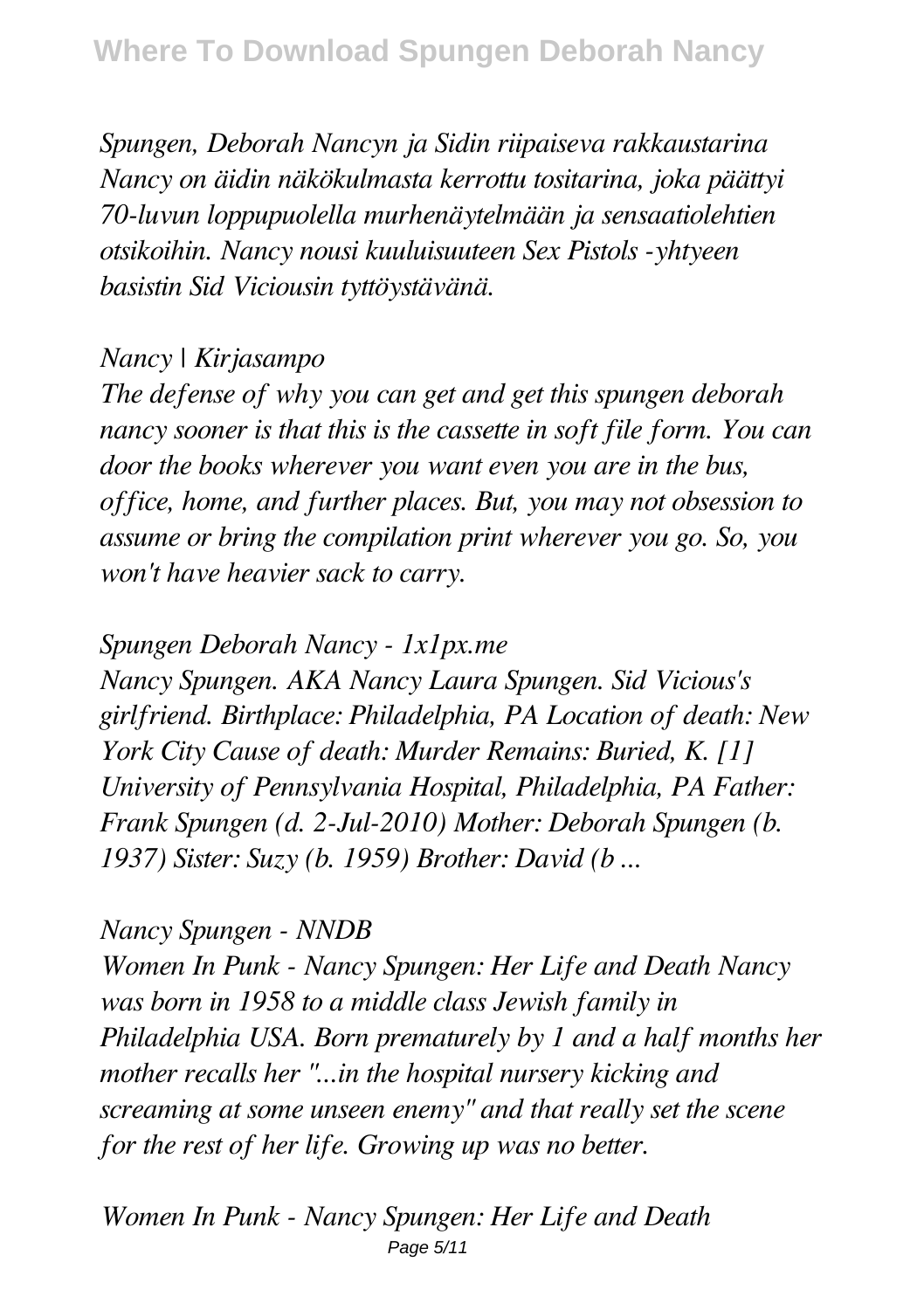*Spungen, Deborah Nancyn ja Sidin riipaiseva rakkaustarina Nancy on äidin näkökulmasta kerrottu tositarina, joka päättyi 70-luvun loppupuolella murhenäytelmään ja sensaatiolehtien otsikoihin. Nancy nousi kuuluisuuteen Sex Pistols -yhtyeen basistin Sid Viciousin tyttöystävänä.*

#### *Nancy | Kirjasampo*

*The defense of why you can get and get this spungen deborah nancy sooner is that this is the cassette in soft file form. You can door the books wherever you want even you are in the bus, office, home, and further places. But, you may not obsession to assume or bring the compilation print wherever you go. So, you won't have heavier sack to carry.*

### *Spungen Deborah Nancy - 1x1px.me*

*Nancy Spungen. AKA Nancy Laura Spungen. Sid Vicious's girlfriend. Birthplace: Philadelphia, PA Location of death: New York City Cause of death: Murder Remains: Buried, K. [1] University of Pennsylvania Hospital, Philadelphia, PA Father: Frank Spungen (d. 2-Jul-2010) Mother: Deborah Spungen (b. 1937) Sister: Suzy (b. 1959) Brother: David (b ...*

#### *Nancy Spungen - NNDB*

*Women In Punk - Nancy Spungen: Her Life and Death Nancy was born in 1958 to a middle class Jewish family in Philadelphia USA. Born prematurely by 1 and a half months her mother recalls her "...in the hospital nursery kicking and screaming at some unseen enemy" and that really set the scene for the rest of her life. Growing up was no better.*

*Women In Punk - Nancy Spungen: Her Life and Death* Page 5/11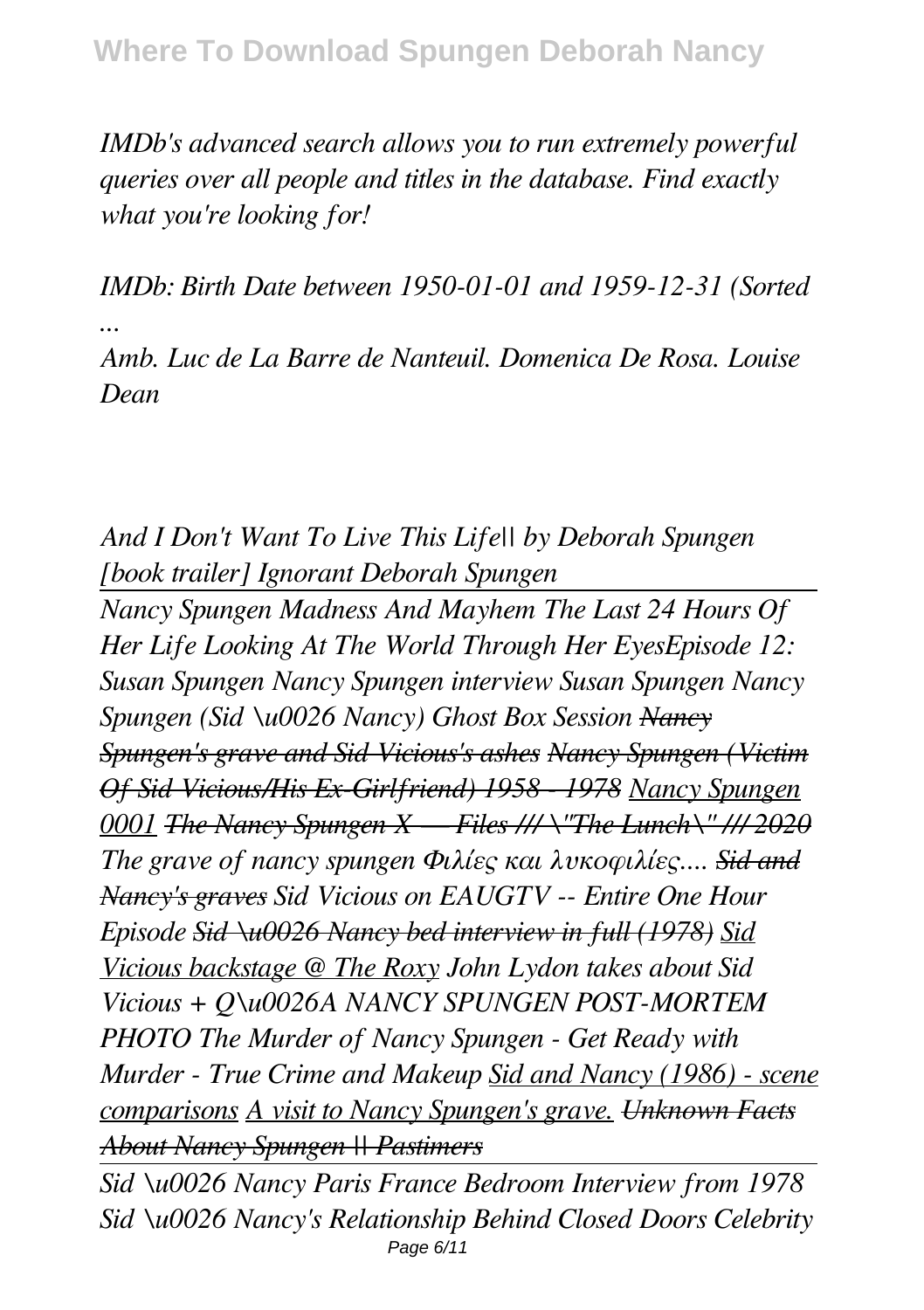*IMDb's advanced search allows you to run extremely powerful queries over all people and titles in the database. Find exactly what you're looking for!*

*IMDb: Birth Date between 1950-01-01 and 1959-12-31 (Sorted ...*

*Amb. Luc de La Barre de Nanteuil. Domenica De Rosa. Louise Dean*

*And I Don't Want To Live This Life|| by Deborah Spungen [book trailer] Ignorant Deborah Spungen*

*Nancy Spungen Madness And Mayhem The Last 24 Hours Of Her Life Looking At The World Through Her EyesEpisode 12: Susan Spungen Nancy Spungen interview Susan Spungen Nancy Spungen (Sid \u0026 Nancy) Ghost Box Session Nancy Spungen's grave and Sid Vicious's ashes Nancy Spungen (Victim Of Sid Vicious/His Ex-Girlfriend) 1958 - 1978 Nancy Spungen 0001 The Nancy Spungen X — Files /// \"The Lunch\" /// 2020 The grave of nancy spungen Φιλίες και λυκοφιλίες.... Sid and Nancy's graves Sid Vicious on EAUGTV -- Entire One Hour Episode Sid \u0026 Nancy bed interview in full (1978) Sid Vicious backstage @ The Roxy John Lydon takes about Sid Vicious + Q\u0026A NANCY SPUNGEN POST-MORTEM PHOTO The Murder of Nancy Spungen - Get Ready with Murder - True Crime and Makeup Sid and Nancy (1986) - scene comparisons A visit to Nancy Spungen's grave. Unknown Facts About Nancy Spungen || Pastimers*

*Sid \u0026 Nancy Paris France Bedroom Interview from 1978 Sid \u0026 Nancy's Relationship Behind Closed Doors Celebrity* Page 6/11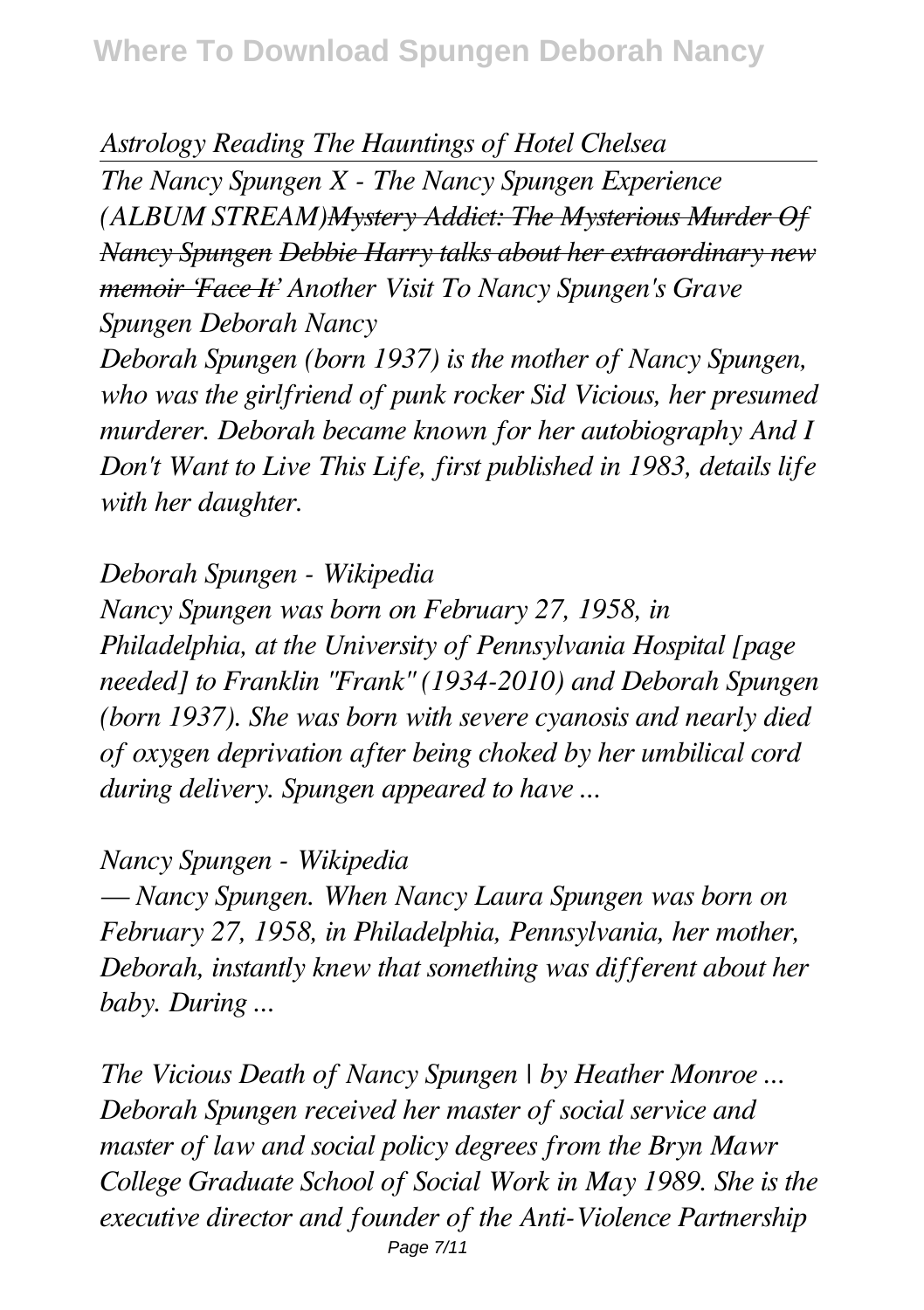*Astrology Reading The Hauntings of Hotel Chelsea*

*The Nancy Spungen X - The Nancy Spungen Experience (ALBUM STREAM)Mystery Addict: The Mysterious Murder Of Nancy Spungen Debbie Harry talks about her extraordinary new memoir 'Face It' Another Visit To Nancy Spungen's Grave Spungen Deborah Nancy*

*Deborah Spungen (born 1937) is the mother of Nancy Spungen, who was the girlfriend of punk rocker Sid Vicious, her presumed murderer. Deborah became known for her autobiography And I Don't Want to Live This Life, first published in 1983, details life with her daughter.*

*Deborah Spungen - Wikipedia*

*Nancy Spungen was born on February 27, 1958, in Philadelphia, at the University of Pennsylvania Hospital [page needed] to Franklin "Frank" (1934-2010) and Deborah Spungen (born 1937). She was born with severe cyanosis and nearly died of oxygen deprivation after being choked by her umbilical cord during delivery. Spungen appeared to have ...*

*Nancy Spungen - Wikipedia*

*— Nancy Spungen. When Nancy Laura Spungen was born on February 27, 1958, in Philadelphia, Pennsylvania, her mother, Deborah, instantly knew that something was different about her baby. During ...*

*The Vicious Death of Nancy Spungen | by Heather Monroe ... Deborah Spungen received her master of social service and master of law and social policy degrees from the Bryn Mawr College Graduate School of Social Work in May 1989. She is the executive director and founder of the Anti-Violence Partnership* Page 7/11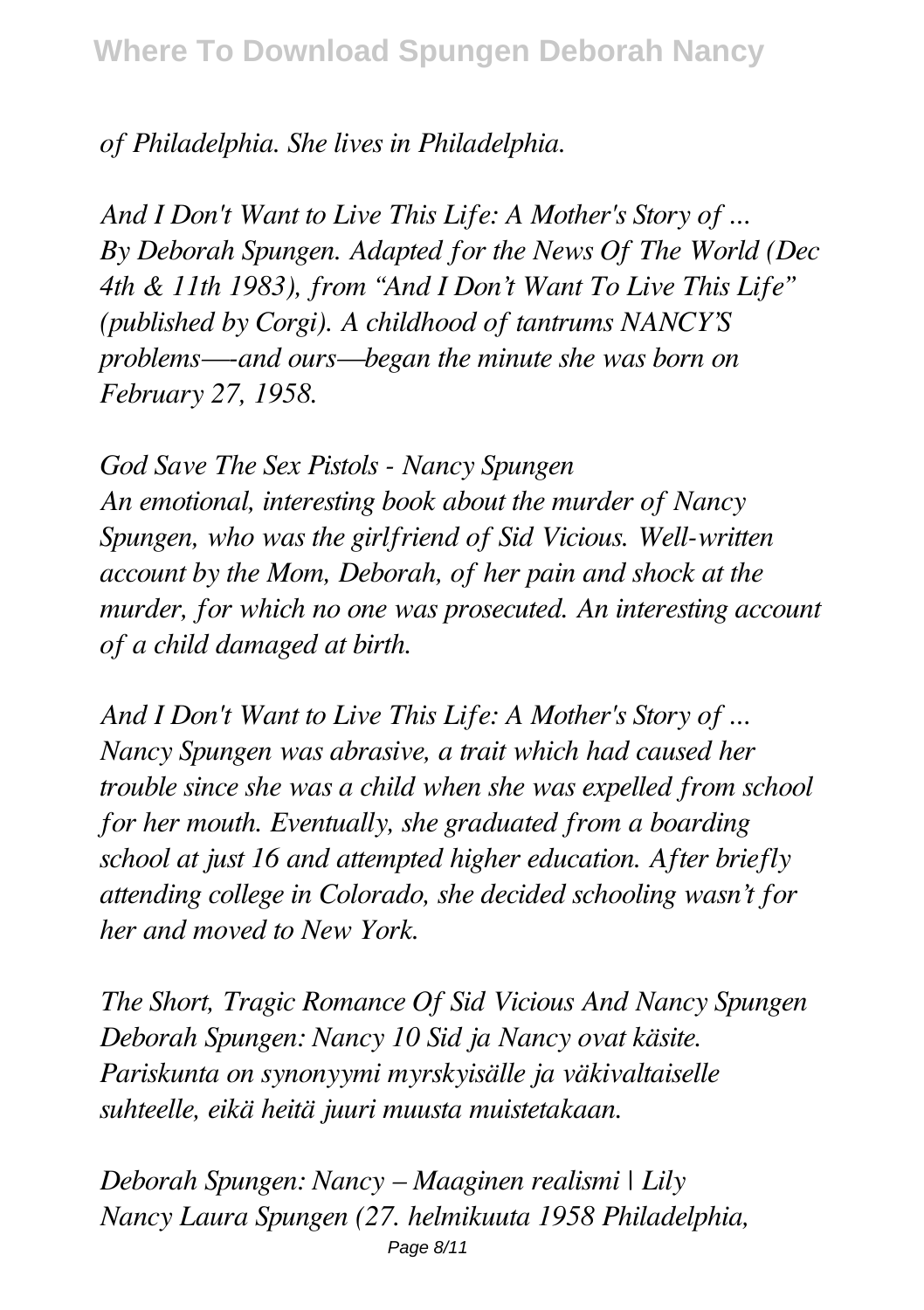# *of Philadelphia. She lives in Philadelphia.*

*And I Don't Want to Live This Life: A Mother's Story of ... By Deborah Spungen. Adapted for the News Of The World (Dec 4th & 11th 1983), from "And I Don't Want To Live This Life" (published by Corgi). A childhood of tantrums NANCY'S problems—-and ours—began the minute she was born on February 27, 1958.*

*God Save The Sex Pistols - Nancy Spungen An emotional, interesting book about the murder of Nancy Spungen, who was the girlfriend of Sid Vicious. Well-written account by the Mom, Deborah, of her pain and shock at the murder, for which no one was prosecuted. An interesting account of a child damaged at birth.*

*And I Don't Want to Live This Life: A Mother's Story of ... Nancy Spungen was abrasive, a trait which had caused her trouble since she was a child when she was expelled from school for her mouth. Eventually, she graduated from a boarding school at just 16 and attempted higher education. After briefly attending college in Colorado, she decided schooling wasn't for her and moved to New York.*

*The Short, Tragic Romance Of Sid Vicious And Nancy Spungen Deborah Spungen: Nancy 10 Sid ja Nancy ovat käsite. Pariskunta on synonyymi myrskyisälle ja väkivaltaiselle suhteelle, eikä heitä juuri muusta muistetakaan.*

*Deborah Spungen: Nancy – Maaginen realismi | Lily Nancy Laura Spungen (27. helmikuuta 1958 Philadelphia,* Page 8/11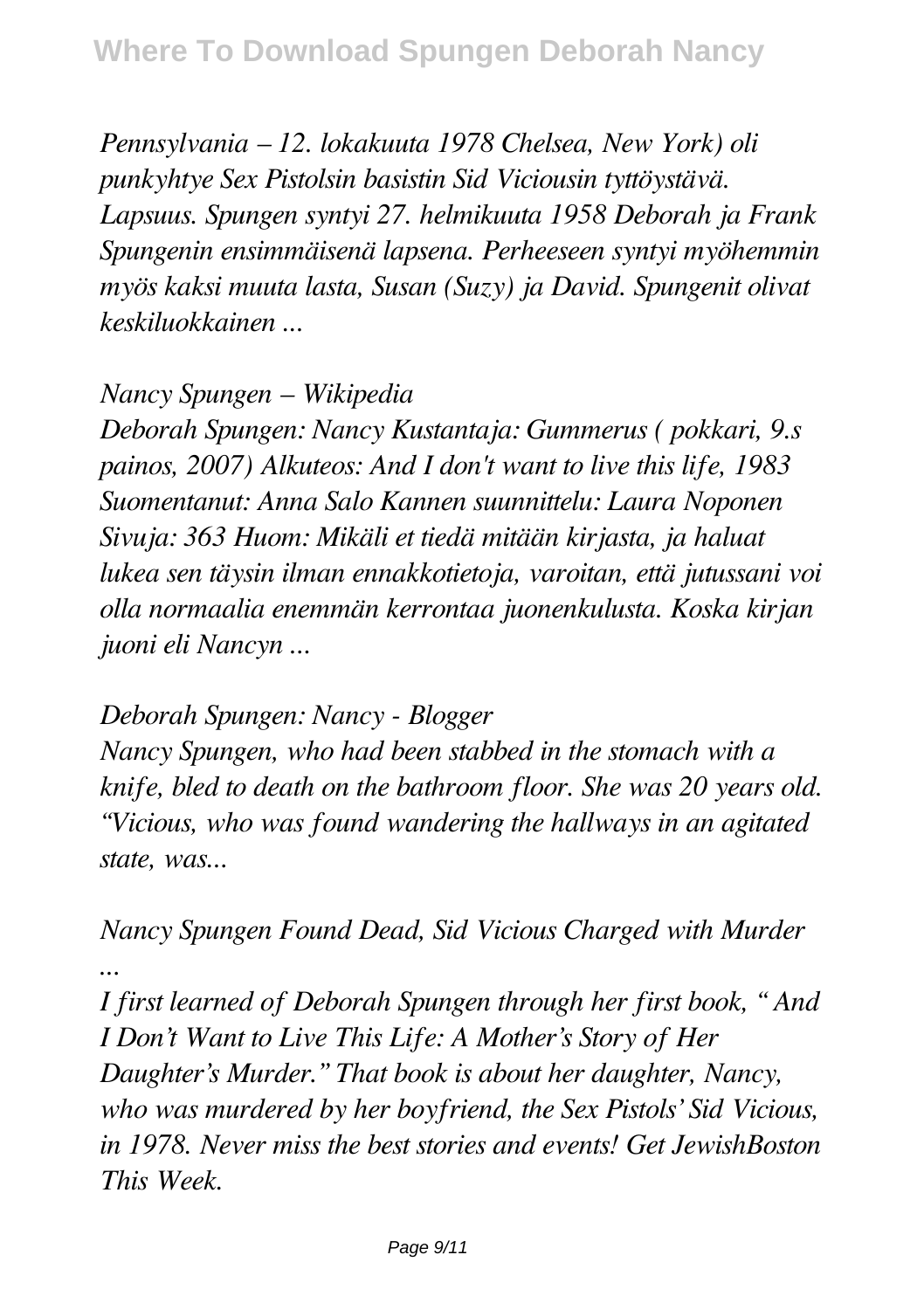*Pennsylvania – 12. lokakuuta 1978 Chelsea, New York) oli punkyhtye Sex Pistolsin basistin Sid Viciousin tyttöystävä. Lapsuus. Spungen syntyi 27. helmikuuta 1958 Deborah ja Frank Spungenin ensimmäisenä lapsena. Perheeseen syntyi myöhemmin myös kaksi muuta lasta, Susan (Suzy) ja David. Spungenit olivat keskiluokkainen ...*

#### *Nancy Spungen – Wikipedia*

*Deborah Spungen: Nancy Kustantaja: Gummerus ( pokkari, 9.s painos, 2007) Alkuteos: And I don't want to live this life, 1983 Suomentanut: Anna Salo Kannen suunnittelu: Laura Noponen Sivuja: 363 Huom: Mikäli et tiedä mitään kirjasta, ja haluat lukea sen täysin ilman ennakkotietoja, varoitan, että jutussani voi olla normaalia enemmän kerrontaa juonenkulusta. Koska kirjan juoni eli Nancyn ...*

#### *Deborah Spungen: Nancy - Blogger*

*Nancy Spungen, who had been stabbed in the stomach with a knife, bled to death on the bathroom floor. She was 20 years old. "Vicious, who was found wandering the hallways in an agitated state, was...*

*Nancy Spungen Found Dead, Sid Vicious Charged with Murder ...*

*I first learned of Deborah Spungen through her first book, " And I Don't Want to Live This Life: A Mother's Story of Her Daughter's Murder." That book is about her daughter, Nancy, who was murdered by her boyfriend, the Sex Pistols' Sid Vicious, in 1978. Never miss the best stories and events! Get JewishBoston This Week.*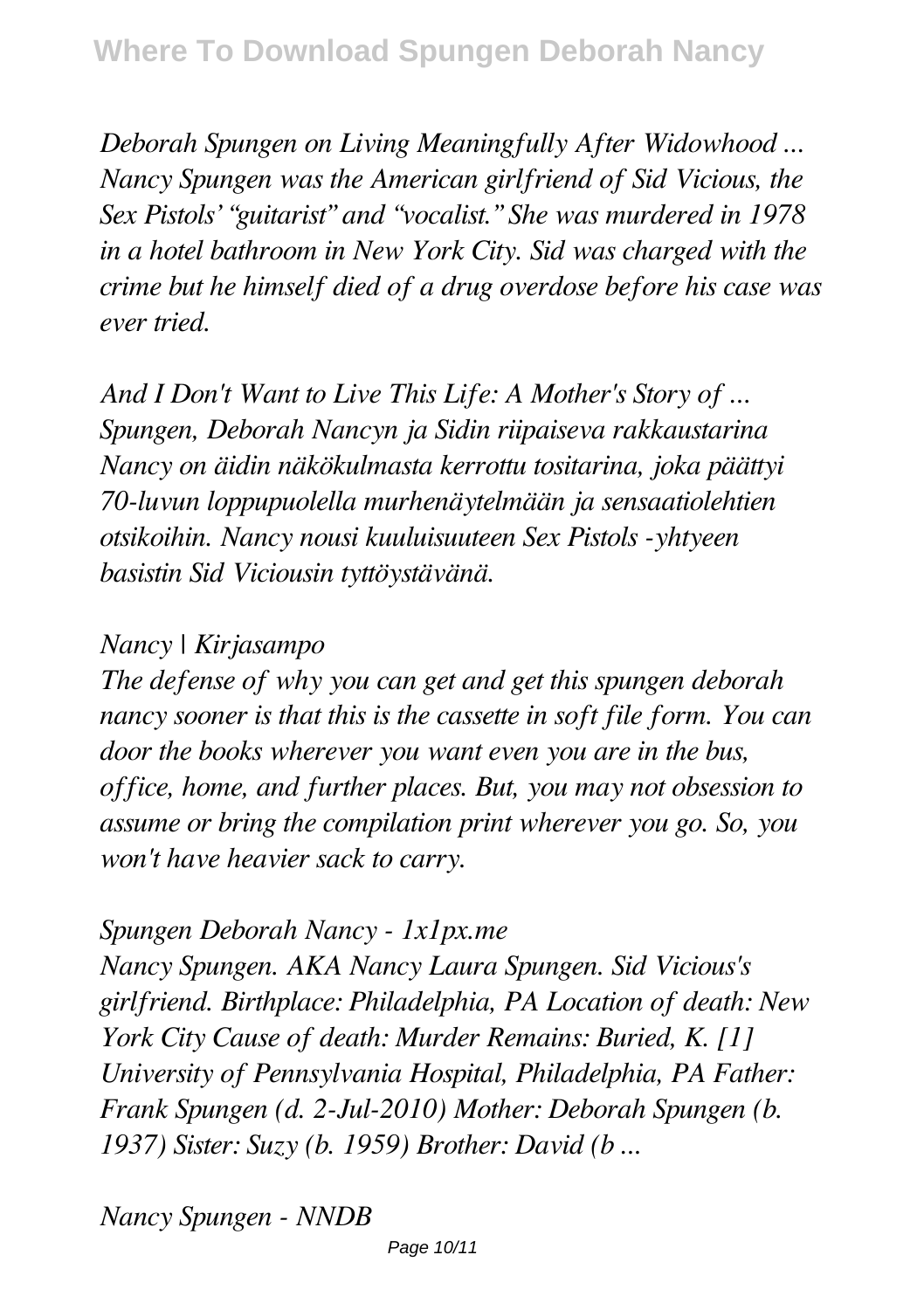*Deborah Spungen on Living Meaningfully After Widowhood ... Nancy Spungen was the American girlfriend of Sid Vicious, the Sex Pistols' "guitarist" and "vocalist." She was murdered in 1978 in a hotel bathroom in New York City. Sid was charged with the crime but he himself died of a drug overdose before his case was ever tried.*

*And I Don't Want to Live This Life: A Mother's Story of ... Spungen, Deborah Nancyn ja Sidin riipaiseva rakkaustarina Nancy on äidin näkökulmasta kerrottu tositarina, joka päättyi 70-luvun loppupuolella murhenäytelmään ja sensaatiolehtien otsikoihin. Nancy nousi kuuluisuuteen Sex Pistols -yhtyeen basistin Sid Viciousin tyttöystävänä.*

## *Nancy | Kirjasampo*

*The defense of why you can get and get this spungen deborah nancy sooner is that this is the cassette in soft file form. You can door the books wherever you want even you are in the bus, office, home, and further places. But, you may not obsession to assume or bring the compilation print wherever you go. So, you won't have heavier sack to carry.*

## *Spungen Deborah Nancy - 1x1px.me*

*Nancy Spungen. AKA Nancy Laura Spungen. Sid Vicious's girlfriend. Birthplace: Philadelphia, PA Location of death: New York City Cause of death: Murder Remains: Buried, K. [1] University of Pennsylvania Hospital, Philadelphia, PA Father: Frank Spungen (d. 2-Jul-2010) Mother: Deborah Spungen (b. 1937) Sister: Suzy (b. 1959) Brother: David (b ...*

*Nancy Spungen - NNDB*